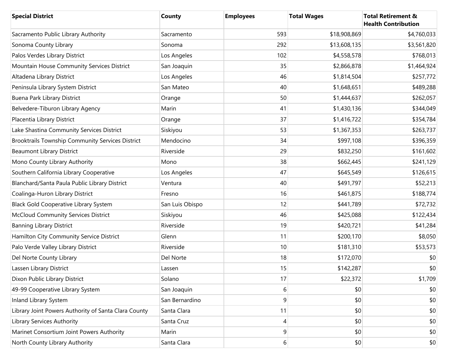| <b>Special District</b>                              | <b>County</b>   | <b>Employees</b> | <b>Total Wages</b> | <b>Total Retirement &amp;</b><br><b>Health Contribution</b> |
|------------------------------------------------------|-----------------|------------------|--------------------|-------------------------------------------------------------|
| Sacramento Public Library Authority                  | Sacramento      | 593              | \$18,908,869       | \$4,760,033                                                 |
| Sonoma County Library                                | Sonoma          | 292              | \$13,608,135       | \$3,561,820                                                 |
| Palos Verdes Library District                        | Los Angeles     | 102              | \$4,558,578        | \$768,013                                                   |
| Mountain House Community Services District           | San Joaquin     | 35               | \$2,866,878        | \$1,464,924                                                 |
| Altadena Library District                            | Los Angeles     | 46               | \$1,814,504        | \$257,772                                                   |
| Peninsula Library System District                    | San Mateo       | 40               | \$1,648,651        | \$489,288                                                   |
| Buena Park Library District                          | Orange          | 50               | \$1,444,637        | \$262,057                                                   |
| Belvedere-Tiburon Library Agency                     | Marin           | 41               | \$1,430,136        | \$344,049                                                   |
| Placentia Library District                           | Orange          | 37               | \$1,416,722        | \$354,784                                                   |
| Lake Shastina Community Services District            | Siskiyou        | 53               | \$1,367,353        | \$263,737                                                   |
| Brooktrails Township Community Services District     | Mendocino       | 34               | \$997,108          | \$396,359                                                   |
| <b>Beaumont Library District</b>                     | Riverside       | 29               | \$832,250          | \$161,602                                                   |
| Mono County Library Authority                        | Mono            | 38               | \$662,445          | \$241,129                                                   |
| Southern California Library Cooperative              | Los Angeles     | 47               | \$645,549          | \$126,615                                                   |
| Blanchard/Santa Paula Public Library District        | Ventura         | 40               | \$491,797          | \$52,213                                                    |
| Coalinga-Huron Library District                      | Fresno          | 16               | \$461,875          | \$188,774                                                   |
| <b>Black Gold Cooperative Library System</b>         | San Luis Obispo | 12               | \$441,789          | \$72,732                                                    |
| <b>McCloud Community Services District</b>           | Siskiyou        | 46               | \$425,088          | \$122,434                                                   |
| <b>Banning Library District</b>                      | Riverside       | 19               | \$420,721          | \$41,284                                                    |
| Hamilton City Community Service District             | Glenn           | 11               | \$200,170          | \$8,050                                                     |
| Palo Verde Valley Library District                   | Riverside       | 10               | \$181,310          | \$53,573                                                    |
| Del Norte County Library                             | Del Norte       | 18               | \$172,070          | \$0                                                         |
| Lassen Library District                              | Lassen          | 15               | \$142,287          | \$0                                                         |
| Dixon Public Library District                        | Solano          | 17               | \$22,372           | \$1,709                                                     |
| 49-99 Cooperative Library System                     | San Joaquin     | 6                | \$0                | \$0                                                         |
| Inland Library System                                | San Bernardino  | 9                | \$0                | \$0                                                         |
| Library Joint Powers Authority of Santa Clara County | Santa Clara     | 11               | \$0                | \$0                                                         |
| <b>Library Services Authority</b>                    | Santa Cruz      | 4                | \$0                | \$0                                                         |
| Marinet Consortium Joint Powers Authority            | Marin           | 9                | \$0                | \$0                                                         |
| North County Library Authority                       | Santa Clara     | 6                | \$0                | \$0                                                         |